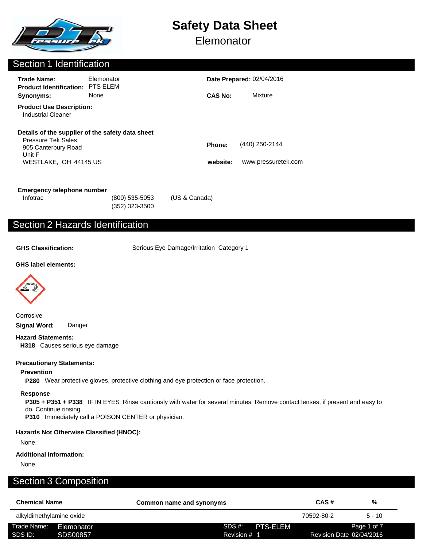

**Elemonator** 

### Section 1 Identification

| <b>Trade Name:</b><br><b>Product Identification:</b>                                                                                    | Elemonator<br>PTS-ELEM |                    | <b>Date Prepared: 02/04/2016</b>      |  |
|-----------------------------------------------------------------------------------------------------------------------------------------|------------------------|--------------------|---------------------------------------|--|
| Synonyms:                                                                                                                               | None                   | <b>CAS No:</b>     | Mixture                               |  |
| <b>Product Use Description:</b><br><b>Industrial Cleaner</b>                                                                            |                        |                    |                                       |  |
| Details of the supplier of the safety data sheet<br><b>Pressure Tek Sales</b><br>905 Canterbury Road<br>Unit F<br>WESTLAKE, OH 44145 US |                        | Phone:<br>website: | (440) 250-2144<br>www.pressuretek.com |  |
|                                                                                                                                         |                        |                    |                                       |  |

| Emergency telephone number |                  |               |
|----------------------------|------------------|---------------|
| Infotrac                   | $(800)$ 535-5053 | (US & Canada) |
|                            | (352) 323-3500   |               |

# Section 2 Hazards Identification

**GHS Classification:** Serious Eye Damage/Irritation Category 1

#### **GHS label elements:**



**Corrosive Signal Word:** Danger

#### **Hazard Statements:**

**H318** Causes serious eye damage

#### **Precautionary Statements:**

#### **Prevention**

**P280** Wear protective gloves, protective clothing and eye protection or face protection.

#### **Response**

**P305 + P351 + P338** IF IN EYES: Rinse cautiously with water for several minutes. Remove contact lenses, if present and easy to do. Continue rinsing.

**P310** Immediately call a POISON CENTER or physician.

#### **Hazards Not Otherwise Classified (HNOC):**

None.

#### **Additional Information:**

None.

# Section 3 Composition

| <b>Chemical Name</b>     |            | Common name and synonyms |              |          | CAS#                     | %           |
|--------------------------|------------|--------------------------|--------------|----------|--------------------------|-------------|
| alkyldimethylamine oxide |            |                          |              |          | 70592-80-2               | $5 - 10$    |
| Trade Name:<br>SDS ID:   | Elemonator |                          | SDS #:       | PTS-ELEM |                          | Page 1 of 7 |
|                          | SDS00857   |                          | Revision # 1 |          | Revision Date 02/04/2016 |             |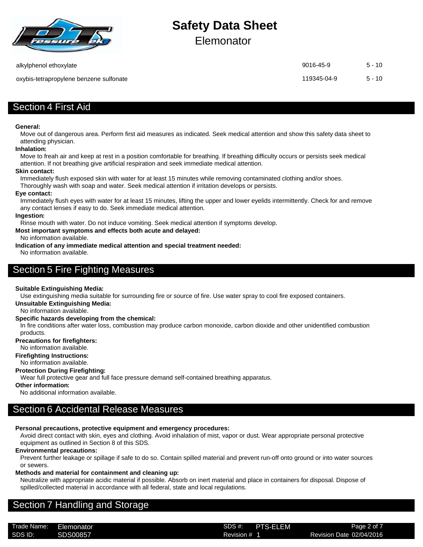

Elemonator

oxybis-tetrapropylene benzene sulfonate 119345-04-9 5 - 10

alkylphenol ethoxylate 9016-45-9 5 - 10

## Section 4 First Aid

#### **General:**

Move out of dangerous area. Perform first aid measures as indicated. Seek medical attention and show this safety data sheet to attending physician.

#### **Inhalation:**

Move to freah air and keep at rest in a position comfortable for breathing. If breathing difficulty occurs or persists seek medical attention. If not breathing give artificial respiration and seek immediate medical attention.

#### **Skin contact:**

Immediately flush exposed skin with water for at least 15 minutes while removing contaminated clothing and/or shoes.

Thoroughly wash with soap and water. Seek medical attention if irritation develops or persists.

#### **Eye contact:**

Immediately flush eyes with water for at least 15 minutes, lifting the upper and lower eyelids intermittently. Check for and remove any contact lenses if easy to do. Seek immediate medical attention.

#### **Ingestion:**

Rinse mouth with water. Do not induce vomiting. Seek medical attention if symptoms develop.

#### **Most important symptoms and effects both acute and delayed:**

No information available.

**Indication of any immediate medical attention and special treatment needed:** No information available.

# Section 5 Fire Fighting Measures

#### **Suitable Extinguishing Media:**

Use extinguishing media suitable for surrounding fire or source of fire. Use water spray to cool fire exposed containers.

**Unsuitable Extinguishing Media:**

No information available.

#### **Specific hazards developing from the chemical:**

In fire conditions after water loss, combustion may produce carbon monoxide, carbon dioxide and other unidentified combustion products.

#### **Precautions for firefighters:**

No information available.

#### **Firefighting Instructions:**

No information available.

#### **Protection During Firefighting:**

Wear full protective gear and full face pressure demand self-contained breathing apparatus.

#### **Other information:**

No additional information available.

# Section 6 Accidental Release Measures

#### **Personal precautions, protective equipment and emergency procedures:**

Avoid direct contact with skin, eyes and clothing. Avoid inhalation of mist, vapor or dust. Wear appropriate personal protective equipment as outlined in Section 8 of this SDS.

#### **Environmental precautions:**

Prevent further leakage or spillage if safe to do so. Contain spilled material and prevent run-off onto ground or into water sources or sewers.

#### **Methods and material for containment and cleaning up:**

Neutralize with appropriate acidic material if possible. Absorb on inert material and place in containers for disposal. Dispose of spilled/collected material in accordance with all federal, state and local regulations.

# Section 7 Handling and Storage

Trade Name: SDS #: Elemonator PTS-ELEMSDS ID: SDS00857 SDS00857 Revision # 1 Revision 2004/2016

Revision # 1

Page 2 of 7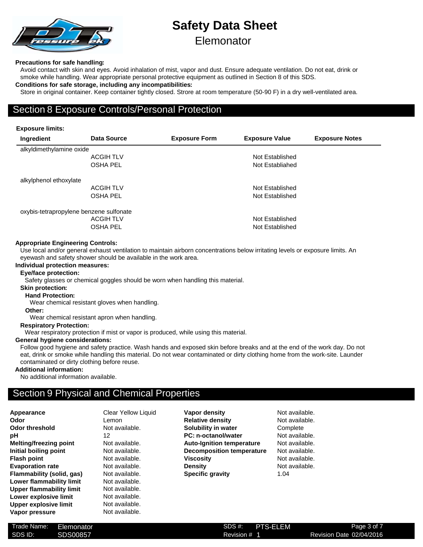

# **Safety Data Sheet Elemonator**

#### **Precautions for safe handling:**

Avoid contact with skin and eyes. Avoid inhalation of mist, vapor and dust. Ensure adequate ventilation. Do not eat, drink or smoke while handling. Wear appropriate personal protective equipment as outlined in Section 8 of this SDS. **Conditions for safe storage, including any incompatibilities:**

#### Store in original container. Keep container tightly closed. Strore at room temperature (50-90 F) in a dry well-ventilated area.

## Section 8 Exposure Controls/Personal Protection

#### **Exposure limits:**

| Ingredient                              | Data Source      | <b>Exposure Form</b> | <b>Exposure Value</b> | <b>Exposure Notes</b> |
|-----------------------------------------|------------------|----------------------|-----------------------|-----------------------|
| alkyldimethylamine oxide                |                  |                      |                       |                       |
|                                         | <b>ACGIH TLV</b> |                      | Not Established       |                       |
|                                         | <b>OSHA PEL</b>  |                      | Not Establiahed       |                       |
| alkylphenol ethoxylate                  |                  |                      |                       |                       |
|                                         | <b>ACGIHTLV</b>  |                      | Not Established       |                       |
|                                         | <b>OSHA PEL</b>  |                      | Not Established       |                       |
| oxybis-tetrapropylene benzene sulfonate |                  |                      |                       |                       |
|                                         | <b>ACGIH TLV</b> |                      | Not Established       |                       |
|                                         | <b>OSHA PEL</b>  |                      | Not Established       |                       |

#### **Appropriate Engineering Controls:**

Use local and/or general exhaust ventilation to maintain airborn concentrations below irritating levels or exposure limits. An eyewash and safety shower should be available in the work area.

#### **Individual protection measures:**

#### **Eye/face protection:**

Safety glasses or chemical goggles should be worn when handling this material.

#### **Skin protection:**

**Hand Protection:**

Wear chemical resistant gloves when handling.

**Other:**

Wear chemical resistant apron when handling.

#### **Respiratory Protection:**

Wear respiratory protection if mist or vapor is produced, while using this material.

#### **General hygiene considerations:**

Follow good hygiene and safety practice. Wash hands and exposed skin before breaks and at the end of the work day. Do not eat, drink or smoke while handling this material. Do not wear contaminated or dirty clothing home from the work-site. Launder contaminated or dirty clothing before reuse.

#### **Additional information:**

No additional information available.

## Section 9 Physical and Chemical Properties

| Appearance                   | Сŀ |
|------------------------------|----|
| Odor                         | Le |
| <b>Odor threshold</b>        | Nc |
| рH                           | 12 |
| Melting/freezing point       | Nc |
| Initial boiling point        | Nc |
| <b>Flash point</b>           | Nc |
| <b>Evaporation rate</b>      | Nc |
| Flammability (solid, gas)    | Nc |
| Lower flammability limit     | Nc |
| Upper flammability limit     | Nc |
| Lower explosive limit        | Nc |
| <b>Upper explosive limit</b> | Nc |
| Vapor pressure               | Nc |
|                              |    |

**Clear Yellow Liquid** Lemon **Not available. Not available. Not available. Not available Not available. Not available. Not available.** Not available. **Not available.** Not available. **Not available.** 

**Vapor density** Not available. **Relative density** Not available. **Solubility in water** Complete **PC: n-octanol/water** Not available. **Auto-Ignition temperature** Not available. **Decomposition temperature** Not available. **Viscosity Not available. Density** Not available. **Specific gravity** 1.04

| Trade Name: | Elemonator      | SDS#:   |
|-------------|-----------------|---------|
| SDS ID:     | <b>SDS00857</b> | Revisio |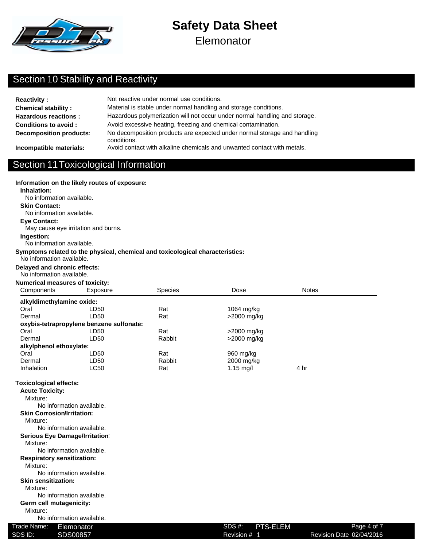

**Elemonator** 

# Section 10 Stability and Reactivity

| <b>Reactivity:</b>             | Not reactive under normal use conditions.                                               |
|--------------------------------|-----------------------------------------------------------------------------------------|
| <b>Chemical stability:</b>     | Material is stable under normal handling and storage conditions.                        |
| <b>Hazardous reactions:</b>    | Hazardous polymerization will not occur under normal handling and storage.              |
| <b>Conditions to avoid:</b>    | Avoid excessive heating, freezing and chemical contamination.                           |
| <b>Decomposition products:</b> | No decomposition products are expected under normal storage and handling<br>conditions. |
| Incompatible materials:        | Avoid contact with alkaline chemicals and unwanted contact with metals.                 |

### Section 11Toxicological Information

#### **Information on the likely routes of exposure:**

#### **Inhalation:**

No information available.

### **Skin Contact:**

No information available.

### **Eye Contact:**

May cause eye irritation and burns.

#### **Ingestion:**

No information available.

#### **Symptoms related to the physical, chemical and toxicological characteristics:**

#### No information available.

#### **Delayed and chronic effects:**

### No information available.

| <b>Numerical measures of toxicity:</b> |                |
|----------------------------------------|----------------|
| Componento                             | E <sub>Y</sub> |

| Components                | Exposure                                 | <b>Species</b> | Dose                | <b>Notes</b> |  |
|---------------------------|------------------------------------------|----------------|---------------------|--------------|--|
| alkyldimethylamine oxide: |                                          |                |                     |              |  |
| Oral                      | LD50                                     | Rat            | 1064 mg/kg          |              |  |
| Dermal                    | LD50                                     | Rat            | >2000 mg/kg         |              |  |
|                           | oxybis-tetrapropylene benzene sulfonate: |                |                     |              |  |
| Oral                      | LD50                                     | Rat            | >2000 mg/kg         |              |  |
| Dermal                    | LD50                                     | Rabbit         | >2000 mg/kg         |              |  |
| alkylphenol ethoxylate:   |                                          |                |                     |              |  |
| Oral                      | LD50                                     | Rat            | 960 mg/kg           |              |  |
| Dermal                    | LD50                                     | Rabbit         | 2000 mg/kg          |              |  |
| Inhalation                | LC50                                     | Rat            | $1.15 \text{ mq/l}$ | 4 hr         |  |
|                           |                                          |                |                     |              |  |

#### **Toxicological effects:**

| <b>Acute Toxicity:</b>            |                    |     |
|-----------------------------------|--------------------|-----|
| Mixture:                          |                    |     |
| No information available.         |                    |     |
| <b>Skin Corrosion/Irritation:</b> |                    |     |
| Mixture:                          |                    |     |
| No information available.         |                    |     |
| Serious Eye Damage/Irritation:    |                    |     |
| Mixture:                          |                    |     |
| No information available.         |                    |     |
| <b>Respiratory sensitization:</b> |                    |     |
| Mixture:                          |                    |     |
| No information available.         |                    |     |
| <b>Skin sensitization:</b>        |                    |     |
| Mixture:                          |                    |     |
| No information available.         |                    |     |
| Germ cell mutagenicity:           |                    |     |
| Mixture:                          |                    |     |
| No information available.         |                    |     |
| Trade Name:<br>Elemonator         | SDS #:<br>PTS-ELEM | Pag |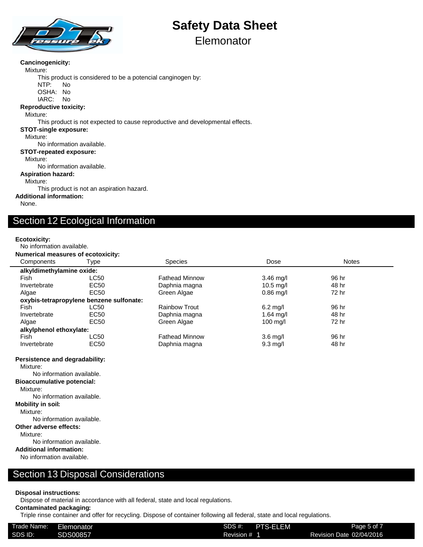

# **Elemonator**

#### **Cancinogenicity:**

Mixture:

This product is considered to be a potencial canginogen by:

NTP: No OSHA: No

IARC: No

#### **Reproductive toxicity:**

Mixture:

This product is not expected to cause reproductive and developmental effects.

#### **STOT-single exposure:**

Mixture:

No information available.

#### **STOT-repeated exposure:**

Mixture:

No information available.

#### **Aspiration hazard:**

Mixture:

This product is not an aspiration hazard.

#### **Additional information:**

None.

# Section 12 Ecological Information

#### **Ecotoxicity:**

No information available. **Numerical measures of ecotoxicity:**

| Components                | Type                                     | <b>Species</b>        | Dose                | <b>Notes</b> |
|---------------------------|------------------------------------------|-----------------------|---------------------|--------------|
| alkyldimethylamine oxide: |                                          |                       |                     |              |
| Fish                      | LC50                                     | <b>Fathead Minnow</b> | $3.46$ mg/l         | 96 hr        |
| Invertebrate              | EC50                                     | Daphnia magna         | $10.5$ mg/l         | 48 hr        |
| Algae                     | EC50                                     | Green Algae           | $0.86$ mg/l         | 72 hr        |
|                           | oxybis-tetrapropylene benzene sulfonate: |                       |                     |              |
| Fish                      | LC50                                     | <b>Rainbow Trout</b>  | $6.2 \text{ mg/l}$  | 96 hr        |
| Invertebrate              | EC <sub>50</sub>                         | Daphnia magna         | 1.64 $mq/l$         | 48 hr        |
| Algae                     | EC50                                     | Green Algae           | $100 \text{ m}$ g/l | 72 hr        |
| alkylphenol ethoxylate:   |                                          |                       |                     |              |
| Fish                      | LC50                                     | <b>Fathead Minnow</b> | $3.6 \text{ rad}$   | 96 hr        |
| Invertebrate              | EC <sub>50</sub>                         | Daphnia magna         | $9.3 \text{ mq/l}$  | 48 hr        |

**Persistence and degradability:**

Mixture:

No information available.

**Bioaccumulative potencial:**

Mixture:

No information available.

#### **Mobility in soil:**

Mixture:

No information available.

**Other adverse effects:**

Mixture:

No information available.

**Additional information:**

No information available.

### Section 13 Disposal Considerations

#### **Disposal instructions:**

Dispose of material in accordance with all federal, state and local regulations.

#### **Contaminated packaging:**

Triple rinse container and offer for recycling. Dispose of container following all federal, state and local regulations.

| Trade Name: | Elemonator | <b>PTS-ELEM</b><br>SDS #: | Page 5 of 7              |
|-------------|------------|---------------------------|--------------------------|
| SDS ID:     | SDS00857   | Revision #                | Revision Date 02/04/2016 |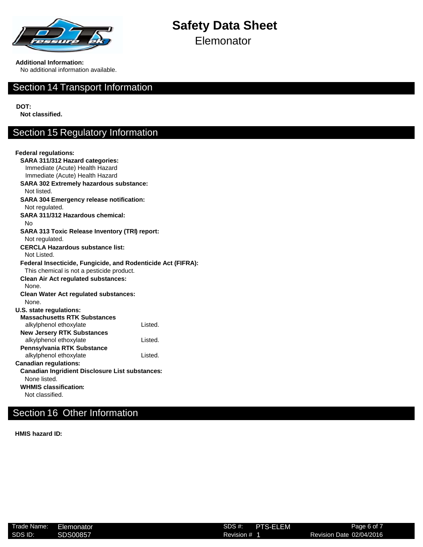

**Elemonator** 

**Additional Information:**

No additional information available.

### Section 14 Transport Information

**DOT:**

**Not classified.**

# Section 15 Regulatory Information

| <b>Federal regulations:</b>                                  |         |
|--------------------------------------------------------------|---------|
| SARA 311/312 Hazard categories:                              |         |
| Immediate (Acute) Health Hazard                              |         |
| Immediate (Acute) Health Hazard                              |         |
| <b>SARA 302 Extremely hazardous substance:</b>               |         |
| Not listed.                                                  |         |
| <b>SARA 304 Emergency release notification:</b>              |         |
| Not regulated.                                               |         |
| SARA 311/312 Hazardous chemical:                             |         |
| No                                                           |         |
| <b>SARA 313 Toxic Release Inventory (TRI) report:</b>        |         |
| Not regulated.                                               |         |
| <b>CERCLA Hazardous substance list:</b>                      |         |
| Not Listed.                                                  |         |
| Federal Insecticide, Fungicide, and Rodenticide Act (FIFRA): |         |
| This chemical is not a pesticide product.                    |         |
| <b>Clean Air Act regulated substances:</b>                   |         |
| None.                                                        |         |
| <b>Clean Water Act regulated substances:</b>                 |         |
| None.                                                        |         |
| U.S. state regulations:                                      |         |
| <b>Massachusetts RTK Substances</b>                          |         |
| alkylphenol ethoxylate                                       | Listed. |
| <b>New Jersery RTK Substances</b>                            |         |
| alkylphenol ethoxylate                                       | Listed. |
| Pennsylvania RTK Substance                                   |         |
| alkylphenol ethoxylate                                       | Listed. |
| <b>Canadian regulations:</b>                                 |         |
| <b>Canadian Ingridient Disclosure List substances:</b>       |         |
| None listed.                                                 |         |
| <b>WHMIS classification:</b>                                 |         |
| Not classified.                                              |         |

# Section 16 Other Information

**HMIS hazard ID:**

| Trade Name: | Elemonator | SDS#    |
|-------------|------------|---------|
| SDS ID:     | SDS00857   | Revisio |